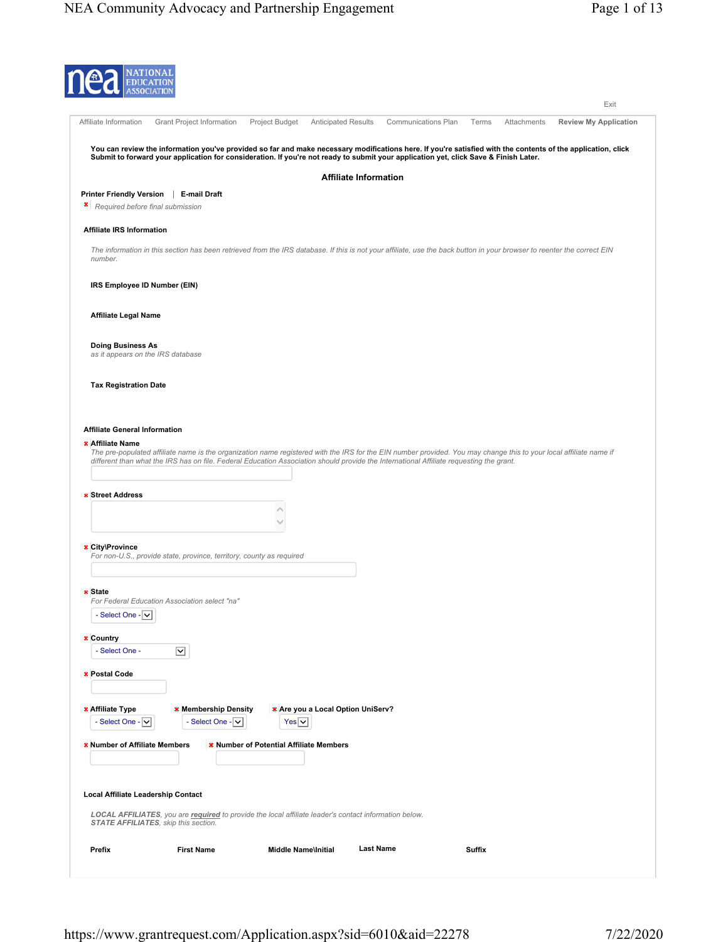| <b>EDUC</b>                                                   | <b>NATIONA</b>                                                       |                                                                |                            |                                                                                                       |                                                                                                                                                                                                                                                                                                               |               |             |                              |
|---------------------------------------------------------------|----------------------------------------------------------------------|----------------------------------------------------------------|----------------------------|-------------------------------------------------------------------------------------------------------|---------------------------------------------------------------------------------------------------------------------------------------------------------------------------------------------------------------------------------------------------------------------------------------------------------------|---------------|-------------|------------------------------|
|                                                               |                                                                      |                                                                |                            |                                                                                                       |                                                                                                                                                                                                                                                                                                               |               |             | Exit                         |
| Affiliate Information                                         | Grant Project Information                                            |                                                                | Project Budget             | <b>Anticipated Results</b>                                                                            | Communications Plan                                                                                                                                                                                                                                                                                           | Terms         | Attachments | <b>Review My Application</b> |
|                                                               |                                                                      |                                                                |                            |                                                                                                       | You can review the information you've provided so far and make necessary modifications here. If you're satisfied with the contents of the application, click<br>Submit to forward your application for consideration. If you're not ready to submit your application yet, click Save & Finish Later.          |               |             |                              |
|                                                               |                                                                      |                                                                |                            | <b>Affiliate Information</b>                                                                          |                                                                                                                                                                                                                                                                                                               |               |             |                              |
| Printer Friendly Version   E-mail Draft<br>*                  | Required before final submission                                     |                                                                |                            |                                                                                                       |                                                                                                                                                                                                                                                                                                               |               |             |                              |
| <b>Affiliate IRS Information</b>                              |                                                                      |                                                                |                            |                                                                                                       |                                                                                                                                                                                                                                                                                                               |               |             |                              |
| number.                                                       |                                                                      |                                                                |                            |                                                                                                       | The information in this section has been retrieved from the IRS database. If this is not your affiliate, use the back button in your browser to reenter the correct EIN                                                                                                                                       |               |             |                              |
| IRS Employee ID Number (EIN)                                  |                                                                      |                                                                |                            |                                                                                                       |                                                                                                                                                                                                                                                                                                               |               |             |                              |
| <b>Affiliate Legal Name</b>                                   |                                                                      |                                                                |                            |                                                                                                       |                                                                                                                                                                                                                                                                                                               |               |             |                              |
| <b>Doing Business As</b><br>as it appears on the IRS database |                                                                      |                                                                |                            |                                                                                                       |                                                                                                                                                                                                                                                                                                               |               |             |                              |
| <b>Tax Registration Date</b>                                  |                                                                      |                                                                |                            |                                                                                                       |                                                                                                                                                                                                                                                                                                               |               |             |                              |
|                                                               |                                                                      |                                                                |                            |                                                                                                       |                                                                                                                                                                                                                                                                                                               |               |             |                              |
| <b>Affiliate General Information</b>                          |                                                                      |                                                                |                            |                                                                                                       |                                                                                                                                                                                                                                                                                                               |               |             |                              |
| * Affiliate Name                                              |                                                                      |                                                                |                            |                                                                                                       |                                                                                                                                                                                                                                                                                                               |               |             |                              |
|                                                               |                                                                      |                                                                |                            |                                                                                                       | The pre-populated affiliate name is the organization name registered with the IRS for the EIN number provided. You may change this to your local affiliate name if<br>different than what the IRS has on file. Federal Education Association should provide the International Affiliate requesting the grant. |               |             |                              |
|                                                               |                                                                      |                                                                |                            |                                                                                                       |                                                                                                                                                                                                                                                                                                               |               |             |                              |
| <b>* Street Address</b>                                       |                                                                      |                                                                |                            |                                                                                                       |                                                                                                                                                                                                                                                                                                               |               |             |                              |
|                                                               |                                                                      |                                                                |                            |                                                                                                       |                                                                                                                                                                                                                                                                                                               |               |             |                              |
|                                                               |                                                                      |                                                                |                            |                                                                                                       |                                                                                                                                                                                                                                                                                                               |               |             |                              |
| * City\Province                                               | For non-U.S., provide state, province, territory, county as required |                                                                |                            |                                                                                                       |                                                                                                                                                                                                                                                                                                               |               |             |                              |
|                                                               |                                                                      |                                                                |                            |                                                                                                       |                                                                                                                                                                                                                                                                                                               |               |             |                              |
| * State                                                       |                                                                      |                                                                |                            |                                                                                                       |                                                                                                                                                                                                                                                                                                               |               |             |                              |
|                                                               | For Federal Education Association select "na                         |                                                                |                            |                                                                                                       |                                                                                                                                                                                                                                                                                                               |               |             |                              |
| - Select One - $ $ $\vee$                                     |                                                                      |                                                                |                            |                                                                                                       |                                                                                                                                                                                                                                                                                                               |               |             |                              |
| * Country                                                     |                                                                      |                                                                |                            |                                                                                                       |                                                                                                                                                                                                                                                                                                               |               |             |                              |
| - Select One -                                                | ☑                                                                    |                                                                |                            |                                                                                                       |                                                                                                                                                                                                                                                                                                               |               |             |                              |
| * Postal Code                                                 |                                                                      |                                                                |                            |                                                                                                       |                                                                                                                                                                                                                                                                                                               |               |             |                              |
|                                                               |                                                                      |                                                                |                            |                                                                                                       |                                                                                                                                                                                                                                                                                                               |               |             |                              |
|                                                               |                                                                      |                                                                |                            |                                                                                                       |                                                                                                                                                                                                                                                                                                               |               |             |                              |
| * Affiliate Type<br>- Select One - $ v $                      |                                                                      | * Membership Density<br>- Select One - $\vert \bm{\vee} \vert$ | Yes v                      | * Are you a Local Option UniServ?                                                                     |                                                                                                                                                                                                                                                                                                               |               |             |                              |
|                                                               |                                                                      |                                                                |                            |                                                                                                       |                                                                                                                                                                                                                                                                                                               |               |             |                              |
| * Number of Affiliate Members                                 |                                                                      | * Number of Potential Affiliate Members                        |                            |                                                                                                       |                                                                                                                                                                                                                                                                                                               |               |             |                              |
|                                                               |                                                                      |                                                                |                            |                                                                                                       |                                                                                                                                                                                                                                                                                                               |               |             |                              |
|                                                               |                                                                      |                                                                |                            |                                                                                                       |                                                                                                                                                                                                                                                                                                               |               |             |                              |
| Local Affiliate Leadership Contact                            |                                                                      |                                                                |                            |                                                                                                       |                                                                                                                                                                                                                                                                                                               |               |             |                              |
|                                                               | STATE AFFILIATES, skip this section.                                 |                                                                |                            | LOCAL AFFILIATES, you are required to provide the local affiliate leader's contact information below. |                                                                                                                                                                                                                                                                                                               |               |             |                              |
| Prefix                                                        | <b>First Name</b>                                                    |                                                                | <b>Middle Name\Initial</b> |                                                                                                       | <b>Last Name</b>                                                                                                                                                                                                                                                                                              | <b>Suffix</b> |             |                              |
|                                                               |                                                                      |                                                                |                            |                                                                                                       |                                                                                                                                                                                                                                                                                                               |               |             |                              |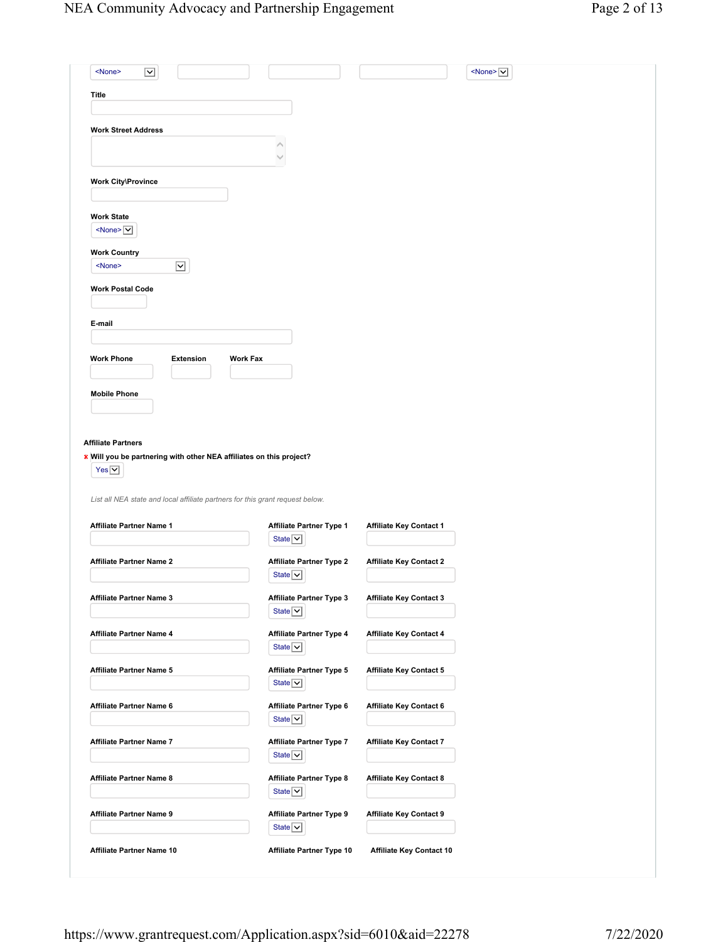| Title                                                                                                                                                                                                                                                                                                                                                                                                                                                                                                         |                      |                 |                                                         |                                 |  |  |
|---------------------------------------------------------------------------------------------------------------------------------------------------------------------------------------------------------------------------------------------------------------------------------------------------------------------------------------------------------------------------------------------------------------------------------------------------------------------------------------------------------------|----------------------|-----------------|---------------------------------------------------------|---------------------------------|--|--|
|                                                                                                                                                                                                                                                                                                                                                                                                                                                                                                               |                      |                 |                                                         |                                 |  |  |
| <b>Work Street Address</b>                                                                                                                                                                                                                                                                                                                                                                                                                                                                                    |                      |                 |                                                         |                                 |  |  |
|                                                                                                                                                                                                                                                                                                                                                                                                                                                                                                               |                      |                 |                                                         |                                 |  |  |
|                                                                                                                                                                                                                                                                                                                                                                                                                                                                                                               |                      |                 |                                                         |                                 |  |  |
|                                                                                                                                                                                                                                                                                                                                                                                                                                                                                                               |                      |                 |                                                         |                                 |  |  |
| <b>Work City\Province</b>                                                                                                                                                                                                                                                                                                                                                                                                                                                                                     |                      |                 |                                                         |                                 |  |  |
|                                                                                                                                                                                                                                                                                                                                                                                                                                                                                                               |                      |                 |                                                         |                                 |  |  |
| <b>Work State</b><br>$\leq$ None> $\vert \mathbf{v} \vert$                                                                                                                                                                                                                                                                                                                                                                                                                                                    |                      |                 |                                                         |                                 |  |  |
|                                                                                                                                                                                                                                                                                                                                                                                                                                                                                                               |                      |                 |                                                         |                                 |  |  |
| <b>Work Country</b>                                                                                                                                                                                                                                                                                                                                                                                                                                                                                           |                      |                 |                                                         |                                 |  |  |
| <none></none>                                                                                                                                                                                                                                                                                                                                                                                                                                                                                                 | $\boxed{\mathbf{v}}$ |                 |                                                         |                                 |  |  |
| <b>Work Postal Code</b>                                                                                                                                                                                                                                                                                                                                                                                                                                                                                       |                      |                 |                                                         |                                 |  |  |
|                                                                                                                                                                                                                                                                                                                                                                                                                                                                                                               |                      |                 |                                                         |                                 |  |  |
| E-mail                                                                                                                                                                                                                                                                                                                                                                                                                                                                                                        |                      |                 |                                                         |                                 |  |  |
|                                                                                                                                                                                                                                                                                                                                                                                                                                                                                                               |                      |                 |                                                         |                                 |  |  |
| <b>Work Phone</b>                                                                                                                                                                                                                                                                                                                                                                                                                                                                                             | <b>Extension</b>     | <b>Work Fax</b> |                                                         |                                 |  |  |
|                                                                                                                                                                                                                                                                                                                                                                                                                                                                                                               |                      |                 |                                                         |                                 |  |  |
|                                                                                                                                                                                                                                                                                                                                                                                                                                                                                                               |                      |                 |                                                         |                                 |  |  |
| <b>Mobile Phone</b>                                                                                                                                                                                                                                                                                                                                                                                                                                                                                           |                      |                 |                                                         |                                 |  |  |
|                                                                                                                                                                                                                                                                                                                                                                                                                                                                                                               |                      |                 |                                                         |                                 |  |  |
| $Yes \boxed{\vee}$                                                                                                                                                                                                                                                                                                                                                                                                                                                                                            |                      |                 |                                                         |                                 |  |  |
|                                                                                                                                                                                                                                                                                                                                                                                                                                                                                                               |                      |                 | Affiliate Partner Type 1                                | <b>Affiliate Key Contact 1</b>  |  |  |
|                                                                                                                                                                                                                                                                                                                                                                                                                                                                                                               |                      |                 | State $\boxed{\vee}$                                    |                                 |  |  |
|                                                                                                                                                                                                                                                                                                                                                                                                                                                                                                               |                      |                 | <b>Affiliate Partner Type 2</b>                         | <b>Affiliate Key Contact 2</b>  |  |  |
|                                                                                                                                                                                                                                                                                                                                                                                                                                                                                                               |                      |                 | State $\boxed{\vee}$                                    |                                 |  |  |
|                                                                                                                                                                                                                                                                                                                                                                                                                                                                                                               |                      |                 | <b>Affiliate Partner Type 3</b><br>State $\boxed{\vee}$ | <b>Affiliate Key Contact 3</b>  |  |  |
|                                                                                                                                                                                                                                                                                                                                                                                                                                                                                                               |                      |                 | <b>Affiliate Partner Type 4</b>                         | <b>Affiliate Key Contact 4</b>  |  |  |
|                                                                                                                                                                                                                                                                                                                                                                                                                                                                                                               |                      |                 | State $\boxed{\vee}$                                    |                                 |  |  |
|                                                                                                                                                                                                                                                                                                                                                                                                                                                                                                               |                      |                 |                                                         |                                 |  |  |
|                                                                                                                                                                                                                                                                                                                                                                                                                                                                                                               |                      |                 | Affiliate Partner Type 5<br>State $\boxed{\vee}$        | <b>Affiliate Key Contact 5</b>  |  |  |
|                                                                                                                                                                                                                                                                                                                                                                                                                                                                                                               |                      |                 |                                                         |                                 |  |  |
|                                                                                                                                                                                                                                                                                                                                                                                                                                                                                                               |                      |                 | Affiliate Partner Type 6                                | <b>Affiliate Key Contact 6</b>  |  |  |
|                                                                                                                                                                                                                                                                                                                                                                                                                                                                                                               |                      |                 | State $\boxed{\vee}$                                    |                                 |  |  |
|                                                                                                                                                                                                                                                                                                                                                                                                                                                                                                               |                      |                 | Affiliate Partner Type 7                                | <b>Affiliate Key Contact 7</b>  |  |  |
|                                                                                                                                                                                                                                                                                                                                                                                                                                                                                                               |                      |                 | State $\boxed{\vee}$                                    |                                 |  |  |
|                                                                                                                                                                                                                                                                                                                                                                                                                                                                                                               |                      |                 | Affiliate Partner Type 8                                | <b>Affiliate Key Contact 8</b>  |  |  |
|                                                                                                                                                                                                                                                                                                                                                                                                                                                                                                               |                      |                 | State $\boxed{\vee}$                                    |                                 |  |  |
|                                                                                                                                                                                                                                                                                                                                                                                                                                                                                                               |                      |                 |                                                         |                                 |  |  |
|                                                                                                                                                                                                                                                                                                                                                                                                                                                                                                               |                      |                 | <b>Affiliate Partner Type 9</b>                         | <b>Affiliate Key Contact 9</b>  |  |  |
| <b>Affiliate Partners</b><br>* Will you be partnering with other NEA affiliates on this project?<br>List all NEA state and local affiliate partners for this grant request below.<br>Affiliate Partner Name 1<br><b>Affiliate Partner Name 2</b><br><b>Affiliate Partner Name 3</b><br><b>Affiliate Partner Name 4</b><br><b>Affiliate Partner Name 5</b><br>Affiliate Partner Name 6<br>Affiliate Partner Name 7<br><b>Affiliate Partner Name 8</b><br>Affiliate Partner Name 9<br>Affiliate Partner Name 10 |                      |                 | State $\boxed{\vee}$<br>Affiliate Partner Type 10       | <b>Affiliate Key Contact 10</b> |  |  |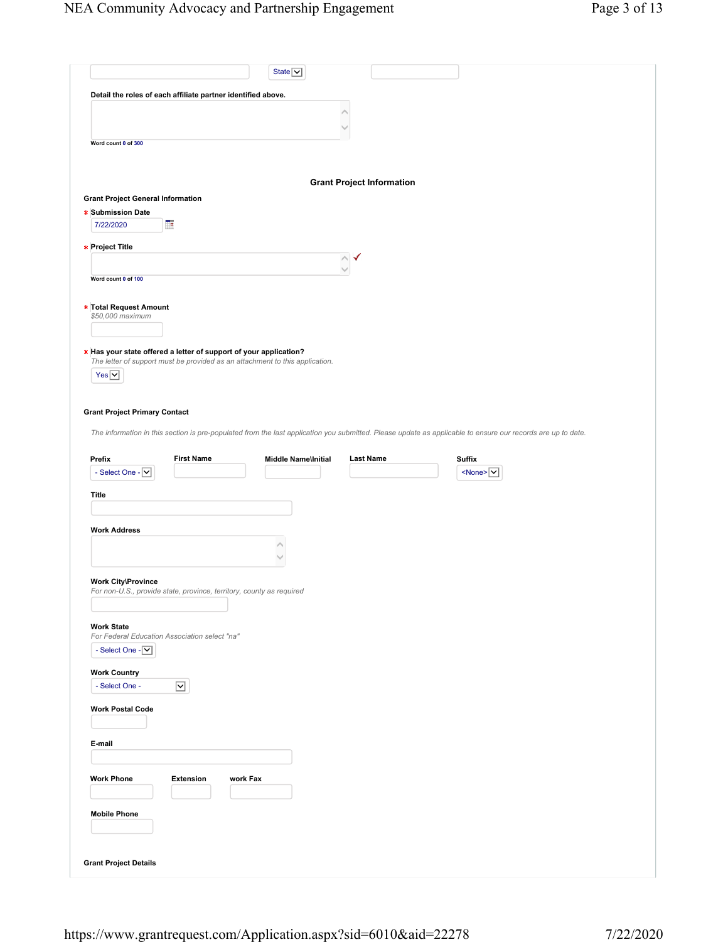|                                                                                                                                                             |                         |          | State $\boxed{\smile}$     |                                  |               |                               |  |  |
|-------------------------------------------------------------------------------------------------------------------------------------------------------------|-------------------------|----------|----------------------------|----------------------------------|---------------|-------------------------------|--|--|
|                                                                                                                                                             |                         |          |                            |                                  |               |                               |  |  |
| Detail the roles of each affiliate partner identified above.                                                                                                |                         |          |                            |                                  |               |                               |  |  |
|                                                                                                                                                             |                         |          |                            |                                  |               |                               |  |  |
|                                                                                                                                                             |                         |          |                            |                                  |               |                               |  |  |
| Word count 0 of 300                                                                                                                                         |                         |          |                            |                                  |               |                               |  |  |
|                                                                                                                                                             |                         |          |                            |                                  |               |                               |  |  |
|                                                                                                                                                             |                         |          |                            | <b>Grant Project Information</b> |               |                               |  |  |
| <b>Grant Project General Information</b>                                                                                                                    |                         |          |                            |                                  |               |                               |  |  |
| <b>* Submission Date</b><br>7/22/2020                                                                                                                       | Œ                       |          |                            |                                  |               |                               |  |  |
|                                                                                                                                                             |                         |          |                            |                                  |               |                               |  |  |
| * Project Title                                                                                                                                             |                         |          |                            | ∧                                |               |                               |  |  |
|                                                                                                                                                             |                         |          |                            |                                  |               |                               |  |  |
| Word count 0 of 100                                                                                                                                         |                         |          |                            |                                  |               |                               |  |  |
| * Total Request Amount                                                                                                                                      |                         |          |                            |                                  |               |                               |  |  |
| \$50,000 maximum                                                                                                                                            |                         |          |                            |                                  |               |                               |  |  |
|                                                                                                                                                             |                         |          |                            |                                  |               |                               |  |  |
| * Has your state offered a letter of support of your application?                                                                                           |                         |          |                            |                                  |               |                               |  |  |
| The letter of support must be provided as an attachment to this application.                                                                                |                         |          |                            |                                  |               |                               |  |  |
| $Yes$ $\vee$                                                                                                                                                |                         |          |                            |                                  |               |                               |  |  |
|                                                                                                                                                             |                         |          |                            |                                  |               |                               |  |  |
| <b>Grant Project Primary Contact</b>                                                                                                                        |                         |          |                            |                                  |               |                               |  |  |
|                                                                                                                                                             |                         |          |                            |                                  |               |                               |  |  |
|                                                                                                                                                             |                         |          |                            |                                  |               |                               |  |  |
| The information in this section is pre-populated from the last application you submitted. Please update as applicable to ensure our records are up to date. |                         |          |                            |                                  |               |                               |  |  |
| Prefix                                                                                                                                                      | <b>First Name</b>       |          | <b>Middle Name\Initial</b> | <b>Last Name</b>                 | <b>Suffix</b> |                               |  |  |
| - Select One - $ \mathbf{v} $                                                                                                                               |                         |          |                            |                                  |               | $<$ None> $\overline{\nabla}$ |  |  |
|                                                                                                                                                             |                         |          |                            |                                  |               |                               |  |  |
| Title                                                                                                                                                       |                         |          |                            |                                  |               |                               |  |  |
|                                                                                                                                                             |                         |          |                            |                                  |               |                               |  |  |
| <b>Work Address</b>                                                                                                                                         |                         |          |                            |                                  |               |                               |  |  |
|                                                                                                                                                             |                         |          |                            |                                  |               |                               |  |  |
|                                                                                                                                                             |                         |          |                            |                                  |               |                               |  |  |
| <b>Work City\Province</b>                                                                                                                                   |                         |          |                            |                                  |               |                               |  |  |
| For non-U.S., provide state, province, territory, county as required                                                                                        |                         |          |                            |                                  |               |                               |  |  |
|                                                                                                                                                             |                         |          |                            |                                  |               |                               |  |  |
| <b>Work State</b>                                                                                                                                           |                         |          |                            |                                  |               |                               |  |  |
| For Federal Education Association select "na"<br>- Select One - V                                                                                           |                         |          |                            |                                  |               |                               |  |  |
|                                                                                                                                                             |                         |          |                            |                                  |               |                               |  |  |
| <b>Work Country</b>                                                                                                                                         |                         |          |                            |                                  |               |                               |  |  |
| - Select One -                                                                                                                                              | $\overline{\mathsf{v}}$ |          |                            |                                  |               |                               |  |  |
| <b>Work Postal Code</b>                                                                                                                                     |                         |          |                            |                                  |               |                               |  |  |
|                                                                                                                                                             |                         |          |                            |                                  |               |                               |  |  |
|                                                                                                                                                             |                         |          |                            |                                  |               |                               |  |  |
| E-mail                                                                                                                                                      |                         |          |                            |                                  |               |                               |  |  |
|                                                                                                                                                             |                         |          |                            |                                  |               |                               |  |  |
| <b>Work Phone</b>                                                                                                                                           | Extension               | work Fax |                            |                                  |               |                               |  |  |
|                                                                                                                                                             |                         |          |                            |                                  |               |                               |  |  |
| <b>Mobile Phone</b>                                                                                                                                         |                         |          |                            |                                  |               |                               |  |  |
|                                                                                                                                                             |                         |          |                            |                                  |               |                               |  |  |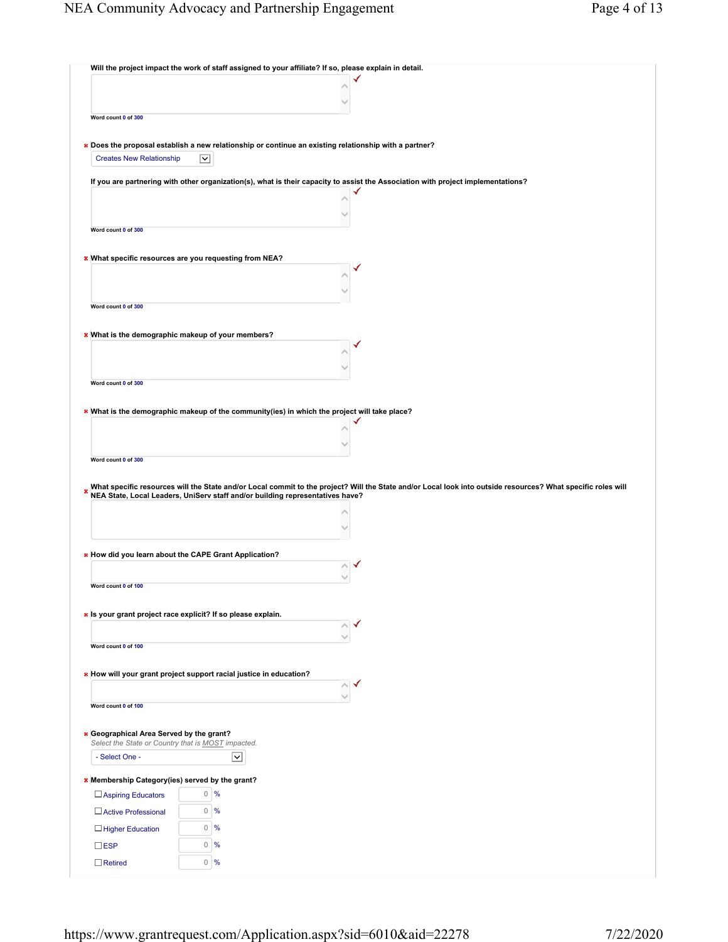| Will the project impact the work of staff assigned to your affiliate? If so, please explain in detail.                                                                                                                                                                                                                                                                                                                                                                                                                     |                                                                                                                                                              |
|----------------------------------------------------------------------------------------------------------------------------------------------------------------------------------------------------------------------------------------------------------------------------------------------------------------------------------------------------------------------------------------------------------------------------------------------------------------------------------------------------------------------------|--------------------------------------------------------------------------------------------------------------------------------------------------------------|
|                                                                                                                                                                                                                                                                                                                                                                                                                                                                                                                            |                                                                                                                                                              |
|                                                                                                                                                                                                                                                                                                                                                                                                                                                                                                                            |                                                                                                                                                              |
| Word count 0 of 300                                                                                                                                                                                                                                                                                                                                                                                                                                                                                                        |                                                                                                                                                              |
| * Does the proposal establish a new relationship or continue an existing relationship with a partner?                                                                                                                                                                                                                                                                                                                                                                                                                      |                                                                                                                                                              |
| <b>Creates New Relationship</b><br>⊻                                                                                                                                                                                                                                                                                                                                                                                                                                                                                       |                                                                                                                                                              |
|                                                                                                                                                                                                                                                                                                                                                                                                                                                                                                                            |                                                                                                                                                              |
| If you are partnering with other organization(s), what is their capacity to assist the Association with project implementations?                                                                                                                                                                                                                                                                                                                                                                                           |                                                                                                                                                              |
|                                                                                                                                                                                                                                                                                                                                                                                                                                                                                                                            |                                                                                                                                                              |
| Word count 0 of 300                                                                                                                                                                                                                                                                                                                                                                                                                                                                                                        |                                                                                                                                                              |
|                                                                                                                                                                                                                                                                                                                                                                                                                                                                                                                            |                                                                                                                                                              |
| * What specific resources are you requesting from NEA?                                                                                                                                                                                                                                                                                                                                                                                                                                                                     |                                                                                                                                                              |
|                                                                                                                                                                                                                                                                                                                                                                                                                                                                                                                            |                                                                                                                                                              |
|                                                                                                                                                                                                                                                                                                                                                                                                                                                                                                                            |                                                                                                                                                              |
| Word count 0 of 300                                                                                                                                                                                                                                                                                                                                                                                                                                                                                                        |                                                                                                                                                              |
|                                                                                                                                                                                                                                                                                                                                                                                                                                                                                                                            |                                                                                                                                                              |
| * What is the demographic makeup of your members?                                                                                                                                                                                                                                                                                                                                                                                                                                                                          |                                                                                                                                                              |
|                                                                                                                                                                                                                                                                                                                                                                                                                                                                                                                            |                                                                                                                                                              |
|                                                                                                                                                                                                                                                                                                                                                                                                                                                                                                                            |                                                                                                                                                              |
| Word count 0 of 300                                                                                                                                                                                                                                                                                                                                                                                                                                                                                                        |                                                                                                                                                              |
| * What is the demographic makeup of the community(ies) in which the project will take place?                                                                                                                                                                                                                                                                                                                                                                                                                               |                                                                                                                                                              |
|                                                                                                                                                                                                                                                                                                                                                                                                                                                                                                                            |                                                                                                                                                              |
|                                                                                                                                                                                                                                                                                                                                                                                                                                                                                                                            |                                                                                                                                                              |
|                                                                                                                                                                                                                                                                                                                                                                                                                                                                                                                            |                                                                                                                                                              |
|                                                                                                                                                                                                                                                                                                                                                                                                                                                                                                                            | What specific resources will the State and/or Local commit to the project? Will the State and/or Local look into outside resources? What specific roles will |
|                                                                                                                                                                                                                                                                                                                                                                                                                                                                                                                            |                                                                                                                                                              |
|                                                                                                                                                                                                                                                                                                                                                                                                                                                                                                                            |                                                                                                                                                              |
|                                                                                                                                                                                                                                                                                                                                                                                                                                                                                                                            |                                                                                                                                                              |
|                                                                                                                                                                                                                                                                                                                                                                                                                                                                                                                            |                                                                                                                                                              |
|                                                                                                                                                                                                                                                                                                                                                                                                                                                                                                                            |                                                                                                                                                              |
|                                                                                                                                                                                                                                                                                                                                                                                                                                                                                                                            |                                                                                                                                                              |
|                                                                                                                                                                                                                                                                                                                                                                                                                                                                                                                            |                                                                                                                                                              |
|                                                                                                                                                                                                                                                                                                                                                                                                                                                                                                                            |                                                                                                                                                              |
|                                                                                                                                                                                                                                                                                                                                                                                                                                                                                                                            |                                                                                                                                                              |
|                                                                                                                                                                                                                                                                                                                                                                                                                                                                                                                            |                                                                                                                                                              |
|                                                                                                                                                                                                                                                                                                                                                                                                                                                                                                                            |                                                                                                                                                              |
|                                                                                                                                                                                                                                                                                                                                                                                                                                                                                                                            |                                                                                                                                                              |
|                                                                                                                                                                                                                                                                                                                                                                                                                                                                                                                            |                                                                                                                                                              |
|                                                                                                                                                                                                                                                                                                                                                                                                                                                                                                                            |                                                                                                                                                              |
|                                                                                                                                                                                                                                                                                                                                                                                                                                                                                                                            |                                                                                                                                                              |
| - Select One -<br>$\vert$ $\vert$                                                                                                                                                                                                                                                                                                                                                                                                                                                                                          |                                                                                                                                                              |
|                                                                                                                                                                                                                                                                                                                                                                                                                                                                                                                            |                                                                                                                                                              |
| $0 \sqrt{9}$<br>□ Aspiring Educators                                                                                                                                                                                                                                                                                                                                                                                                                                                                                       |                                                                                                                                                              |
| $0 - 96$<br>□ Active Professional                                                                                                                                                                                                                                                                                                                                                                                                                                                                                          |                                                                                                                                                              |
| $\circ$<br>%<br>$\Box$ Higher Education                                                                                                                                                                                                                                                                                                                                                                                                                                                                                    |                                                                                                                                                              |
| Word count 0 of 100<br>Word count 0 of 100<br>$\overline{0}$<br>%<br>$\square$ ESP                                                                                                                                                                                                                                                                                                                                                                                                                                         |                                                                                                                                                              |
| Word count 0 of 300<br>NEA State, Local Leaders, UniServ staff and/or building representatives have?<br>* How did you learn about the CAPE Grant Application?<br>Word count 0 of 100<br>* Is your grant project race explicit? If so please explain.<br>* How will your grant project support racial justice in education?<br>* Geographical Area Served by the grant?<br>Select the State or Country that is <b>MOST</b> impacted.<br>* Membership Category(ies) served by the grant?<br>$0\frac{9}{6}$<br>$\Box$ Retired |                                                                                                                                                              |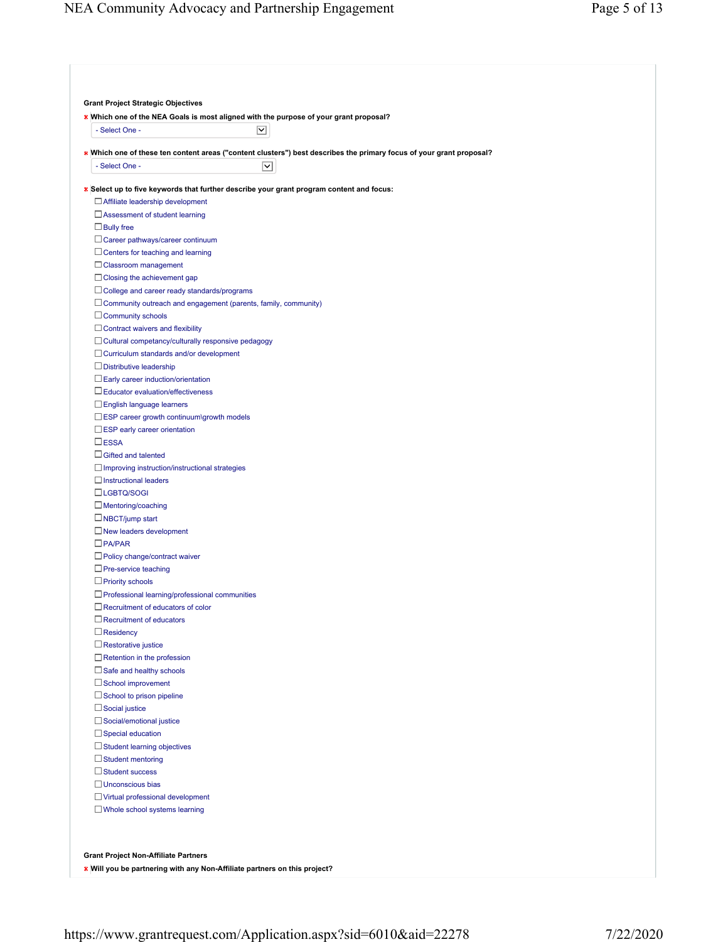| - Select One -                                                                                    | * Which one of the NEA Goals is most aligned with the purpose of your grant proposal?<br>⊻                           |
|---------------------------------------------------------------------------------------------------|----------------------------------------------------------------------------------------------------------------------|
|                                                                                                   | * Which one of these ten content areas ("content clusters") best describes the primary focus of your grant proposal? |
| - Select One -                                                                                    | ◡                                                                                                                    |
|                                                                                                   |                                                                                                                      |
|                                                                                                   | * Select up to five keywords that further describe your grant program content and focus:                             |
| $\Box$ Affiliate leadership development                                                           |                                                                                                                      |
| $\Box$ Assessment of student learning                                                             |                                                                                                                      |
| $\Box$ Bully free                                                                                 |                                                                                                                      |
| $\Box$ Career pathways/career continuum                                                           |                                                                                                                      |
| $\Box$ Centers for teaching and learning                                                          |                                                                                                                      |
| $\Box$ Classroom management                                                                       |                                                                                                                      |
| $\Box$ Closing the achievement gap                                                                |                                                                                                                      |
| $\Box$ College and career ready standards/programs                                                |                                                                                                                      |
| $\Box$ Community outreach and engagement (parents, family, community)<br>$\Box$ Community schools |                                                                                                                      |
| $\Box$ Contract waivers and flexibility                                                           |                                                                                                                      |
| $\Box$ Cultural competancy/culturally responsive pedagogy                                         |                                                                                                                      |
| $\Box$ Curriculum standards and/or development                                                    |                                                                                                                      |
| $\Box$ Distributive leadership                                                                    |                                                                                                                      |
| $\Box$ Early career induction/orientation                                                         |                                                                                                                      |
| $\Box$ Educator evaluation/effectiveness                                                          |                                                                                                                      |
| $\Box$ English language learners                                                                  |                                                                                                                      |
| $\square$ ESP career growth continuum\growth models                                               |                                                                                                                      |
| $\square$ ESP early career orientation                                                            |                                                                                                                      |
| $\square$ ESSA                                                                                    |                                                                                                                      |
| $\Box$ Gifted and talented                                                                        |                                                                                                                      |
| $\Box$ Improving instruction/instructional strategies                                             |                                                                                                                      |
| $\Box$ Instructional leaders                                                                      |                                                                                                                      |
| $\Box$ LGBTQ/SOGI                                                                                 |                                                                                                                      |
| $\Box$ Mentoring/coaching                                                                         |                                                                                                                      |
| $\Box$ NBCT/jump start                                                                            |                                                                                                                      |
| $\Box$ New leaders development                                                                    |                                                                                                                      |
| $\Box$ PA/PAR                                                                                     |                                                                                                                      |
| $\Box$ Policy change/contract waiver                                                              |                                                                                                                      |
| $\Box$ Pre-service teaching                                                                       |                                                                                                                      |
| $\Box$ Priority schools                                                                           |                                                                                                                      |
| $\Box$ Professional learning/professional communities                                             |                                                                                                                      |
| $\Box$ Recruitment of educators of color                                                          |                                                                                                                      |
| $\Box$ Recruitment of educators                                                                   |                                                                                                                      |
| $\Box$ Residency                                                                                  |                                                                                                                      |
| $\Box$ Restorative justice                                                                        |                                                                                                                      |
| $\Box$ Retention in the profession                                                                |                                                                                                                      |
| $\Box$ Safe and healthy schools                                                                   |                                                                                                                      |
| $\Box$ School improvement                                                                         |                                                                                                                      |
| $\Box$ School to prison pipeline                                                                  |                                                                                                                      |
| $\Box$ Social justice                                                                             |                                                                                                                      |
| □ Social/emotional justice                                                                        |                                                                                                                      |
| $\Box$ Special education                                                                          |                                                                                                                      |
| $\Box$ Student learning objectives                                                                |                                                                                                                      |
| $\Box$ Student mentoring                                                                          |                                                                                                                      |
| $\Box$ Student success                                                                            |                                                                                                                      |
| $\Box$ Unconscious bias                                                                           |                                                                                                                      |
| Virtual professional development                                                                  |                                                                                                                      |
| $\Box$ Whole school systems learning                                                              |                                                                                                                      |

**Will you be partnering with any Non-Affiliate partners on this project?**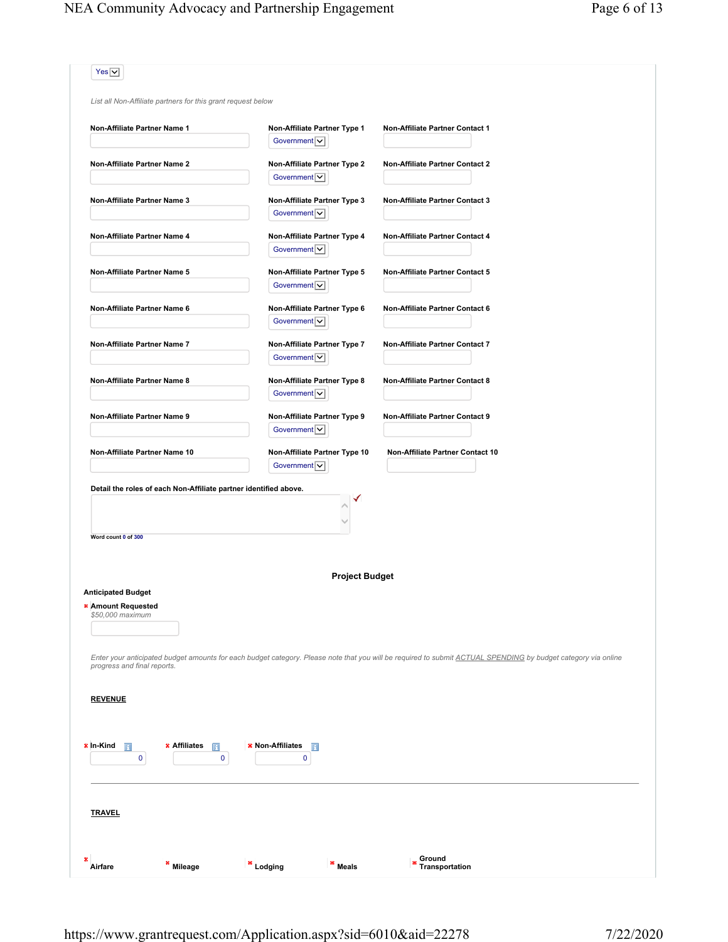|                                                                     | List all Non-Affiliate partners for this grant request below     |                                                  |                                                                                                                                                               |
|---------------------------------------------------------------------|------------------------------------------------------------------|--------------------------------------------------|---------------------------------------------------------------------------------------------------------------------------------------------------------------|
| Non-Affiliate Partner Name 1                                        |                                                                  | Non-Affiliate Partner Type 1<br>Government $ v $ | Non-Affiliate Partner Contact 1                                                                                                                               |
| Non-Affiliate Partner Name 2                                        |                                                                  | Non-Affiliate Partner Type 2<br>Government       | <b>Non-Affiliate Partner Contact 2</b>                                                                                                                        |
| Non-Affiliate Partner Name 3                                        |                                                                  | Non-Affiliate Partner Type 3<br>Government $ v $ | <b>Non-Affiliate Partner Contact 3</b>                                                                                                                        |
| Non-Affiliate Partner Name 4                                        |                                                                  | Non-Affiliate Partner Type 4<br>Government $ v $ | Non-Affiliate Partner Contact 4                                                                                                                               |
| Non-Affiliate Partner Name 5                                        |                                                                  | Non-Affiliate Partner Type 5<br>Government V     | Non-Affiliate Partner Contact 5                                                                                                                               |
| Non-Affiliate Partner Name 6                                        |                                                                  | Non-Affiliate Partner Type 6<br>Government $ v $ | Non-Affiliate Partner Contact 6                                                                                                                               |
| Non-Affiliate Partner Name 7                                        |                                                                  | Non-Affiliate Partner Type 7<br>Government v     | Non-Affiliate Partner Contact 7                                                                                                                               |
| Non-Affiliate Partner Name 8                                        |                                                                  | Non-Affiliate Partner Type 8<br>Government v     | Non-Affiliate Partner Contact 8                                                                                                                               |
| Non-Affiliate Partner Name 9                                        |                                                                  | Non-Affiliate Partner Type 9<br>Government  v    | <b>Non-Affiliate Partner Contact 9</b>                                                                                                                        |
| Non-Affiliate Partner Name 10                                       |                                                                  | Non-Affiliate Partner Type 10<br>Government v    | Non-Affiliate Partner Contact 10                                                                                                                              |
| Word count 0 of 300                                                 | Detail the roles of each Non-Affiliate partner identified above. |                                                  |                                                                                                                                                               |
|                                                                     |                                                                  | <b>Project Budget</b>                            |                                                                                                                                                               |
| <b>Anticipated Budget</b><br>* Amount Requested<br>\$50,000 maximum |                                                                  |                                                  |                                                                                                                                                               |
| progress and final reports.                                         |                                                                  |                                                  | Enter your anticipated budget amounts for each budget category. Please note that you will be required to submit ACTUAL SPENDING by budget category via online |
|                                                                     |                                                                  |                                                  |                                                                                                                                                               |
|                                                                     |                                                                  |                                                  |                                                                                                                                                               |
| П<br>0                                                              | * Affiliates<br>П<br>0                                           | * Non-Affiliates<br>$\mathbf{H}$<br>0            |                                                                                                                                                               |
|                                                                     |                                                                  |                                                  |                                                                                                                                                               |
| <b>REVENUE</b><br>* In-Kind<br><b>TRAVEL</b>                        |                                                                  |                                                  |                                                                                                                                                               |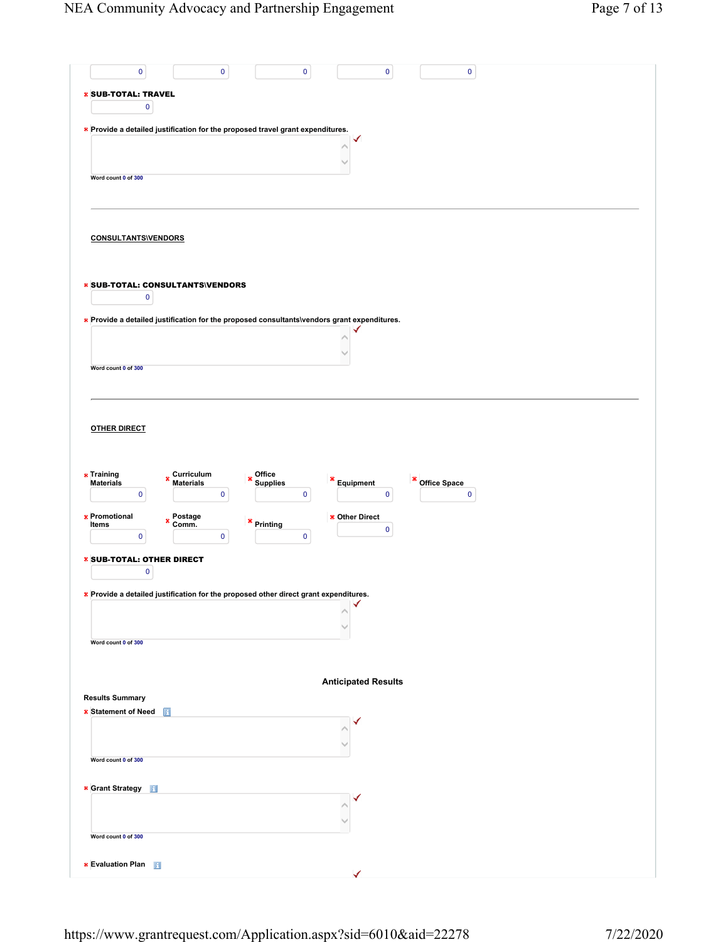| $\pmb{0}$<br>$\mathbf 0$<br>$\mathbf 0$<br>$\pmb{0}$<br>$\pmb{0}$                                                                 |
|-----------------------------------------------------------------------------------------------------------------------------------|
|                                                                                                                                   |
| <b>* SUB-TOTAL: TRAVEL</b>                                                                                                        |
| $\pmb{0}$                                                                                                                         |
| * Provide a detailed justification for the proposed travel grant expenditures.                                                    |
|                                                                                                                                   |
|                                                                                                                                   |
| Word count 0 of 300                                                                                                               |
|                                                                                                                                   |
|                                                                                                                                   |
| <b>CONSULTANTS\VENDORS</b>                                                                                                        |
|                                                                                                                                   |
|                                                                                                                                   |
| <b>* SUB-TOTAL: CONSULTANTS\VENDORS</b>                                                                                           |
| $\pmb{0}$                                                                                                                         |
| * Provide a detailed justification for the proposed consultants\vendors grant expenditures.                                       |
|                                                                                                                                   |
|                                                                                                                                   |
| Word count 0 of 300                                                                                                               |
|                                                                                                                                   |
|                                                                                                                                   |
|                                                                                                                                   |
| <b>OTHER DIRECT</b>                                                                                                               |
|                                                                                                                                   |
|                                                                                                                                   |
| * Training<br>Curriculum<br>Materials<br>$*$ Office<br>×<br>×<br>Office Space<br><b>Materials</b><br>Equipment<br><b>Supplies</b> |
| 0<br>$\pmb{0}$<br>$\pmb{0}$<br>$\pmb{0}$<br>$\pmb{0}$                                                                             |
| * Promotional<br>Postage<br>Comm.<br>* Other Direct<br>×<br>$*$ Printing                                                          |
| Items<br>$\pmb{0}$<br>$\pmb{0}$<br>$\mathbf 0$<br>$\mathbf 0$                                                                     |
|                                                                                                                                   |
| * SUB-TOTAL: OTHER DIRECT<br>0                                                                                                    |
|                                                                                                                                   |
| * Provide a detailed justification for the proposed other direct grant expenditures.                                              |
|                                                                                                                                   |
|                                                                                                                                   |
| Word count 0 of 300                                                                                                               |
|                                                                                                                                   |
| <b>Anticipated Results</b>                                                                                                        |
| <b>Results Summary</b>                                                                                                            |
| * Statement of Need<br>П                                                                                                          |
|                                                                                                                                   |
|                                                                                                                                   |
| Word count 0 of 300                                                                                                               |
| * Grant Strategy                                                                                                                  |
|                                                                                                                                   |
|                                                                                                                                   |
| Word count 0 of 300                                                                                                               |
|                                                                                                                                   |
| <b>* Evaluation Plan</b>                                                                                                          |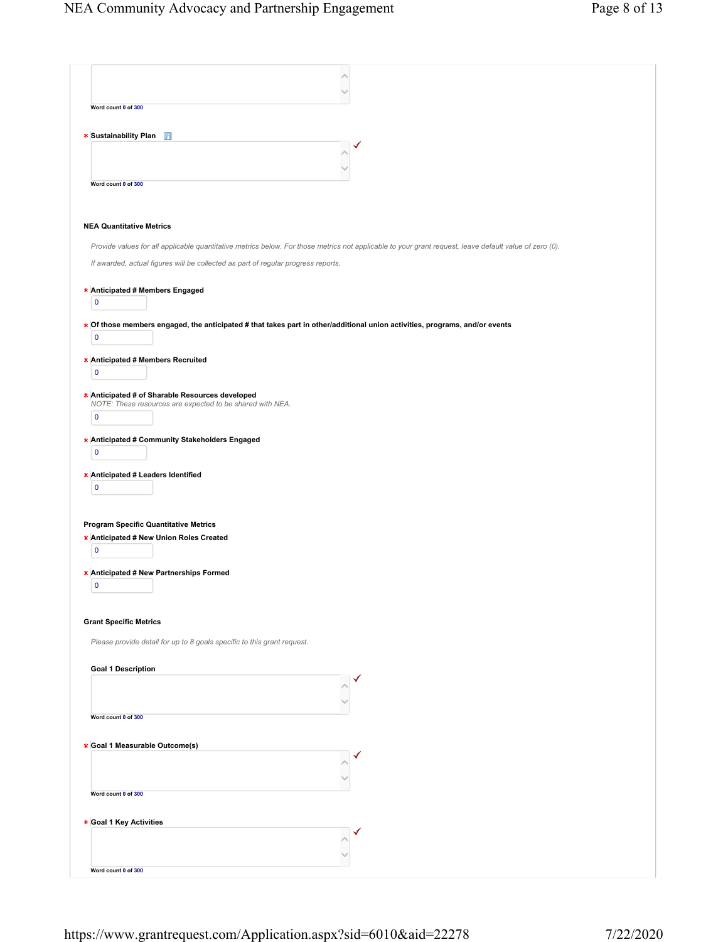| Word count 0 of 300                          |                                                                                                                                                        |
|----------------------------------------------|--------------------------------------------------------------------------------------------------------------------------------------------------------|
|                                              |                                                                                                                                                        |
| * Sustainability Plan                        |                                                                                                                                                        |
|                                              |                                                                                                                                                        |
|                                              |                                                                                                                                                        |
| Word count 0 of 300                          |                                                                                                                                                        |
|                                              |                                                                                                                                                        |
| <b>NEA Quantitative Metrics</b>              |                                                                                                                                                        |
|                                              |                                                                                                                                                        |
|                                              | Provide values for all applicable quantitative metrics below. For those metrics not applicable to your grant request, leave default value of zero (0). |
|                                              | If awarded, actual figures will be collected as part of regular progress reports.                                                                      |
| * Anticipated # Members Engaged              |                                                                                                                                                        |
| $\pmb{0}$                                    |                                                                                                                                                        |
|                                              |                                                                                                                                                        |
| $\pmb{0}$                                    | * Of those members engaged, the anticipated # that takes part in other/additional union activities, programs, and/or events                            |
|                                              |                                                                                                                                                        |
| * Anticipated # Members Recruited            |                                                                                                                                                        |
| $\pmb{0}$                                    |                                                                                                                                                        |
|                                              | * Anticipated # of Sharable Resources developed                                                                                                        |
| $\pmb{0}$                                    | NOTE: These resources are expected to be shared with NEA.                                                                                              |
|                                              |                                                                                                                                                        |
|                                              | * Anticipated # Community Stakeholders Engaged                                                                                                         |
| $\pmb{0}$                                    |                                                                                                                                                        |
| * Anticipated # Leaders Identified           |                                                                                                                                                        |
| $\pmb{0}$                                    |                                                                                                                                                        |
|                                              |                                                                                                                                                        |
| <b>Program Specific Quantitative Metrics</b> |                                                                                                                                                        |
| * Anticipated # New Union Roles Created      |                                                                                                                                                        |
| $\pmb{0}$                                    |                                                                                                                                                        |
| * Anticipated # New Partnerships Formed      |                                                                                                                                                        |
| $\pmb{0}$                                    |                                                                                                                                                        |
|                                              |                                                                                                                                                        |
| <b>Grant Specific Metrics</b>                |                                                                                                                                                        |
|                                              |                                                                                                                                                        |
|                                              | Please provide detail for up to 8 goals specific to this grant request.                                                                                |
| <b>Goal 1 Description</b>                    |                                                                                                                                                        |
|                                              |                                                                                                                                                        |
|                                              |                                                                                                                                                        |
| Word count 0 of 300                          |                                                                                                                                                        |
|                                              |                                                                                                                                                        |
| * Goal 1 Measurable Outcome(s)               |                                                                                                                                                        |
|                                              |                                                                                                                                                        |
|                                              |                                                                                                                                                        |
| Word count 0 of 300                          |                                                                                                                                                        |
|                                              |                                                                                                                                                        |
| * Goal 1 Key Activities                      |                                                                                                                                                        |
|                                              |                                                                                                                                                        |
|                                              |                                                                                                                                                        |
| Word count 0 of 300                          |                                                                                                                                                        |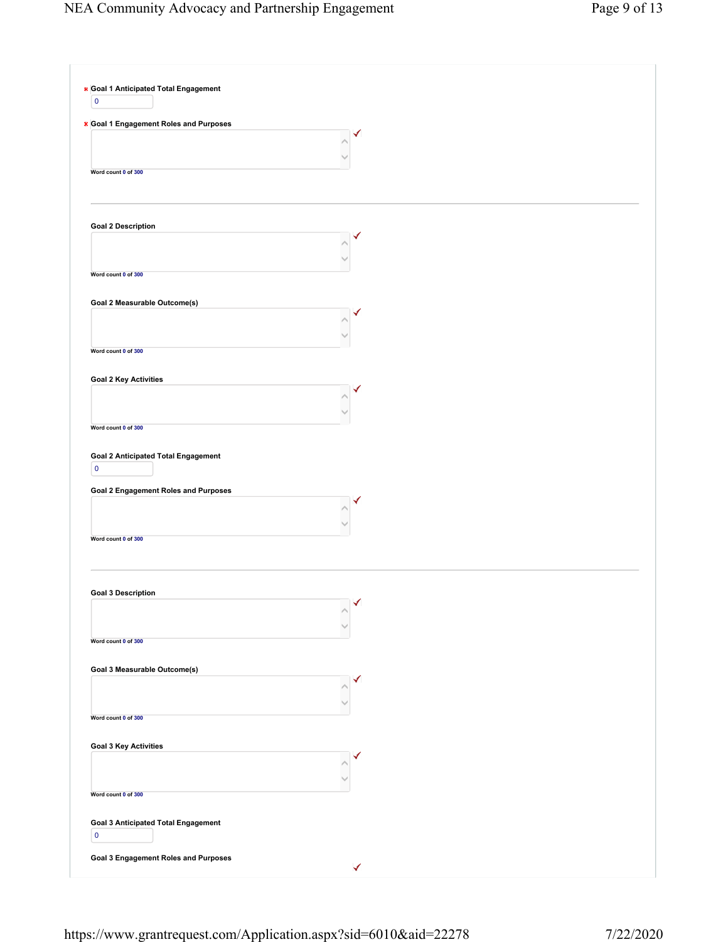| * Goal 1 Anticipated Total Engagement<br>$\mathbf 0$                  |                               |
|-----------------------------------------------------------------------|-------------------------------|
| * Goal 1 Engagement Roles and Purposes                                | ✓                             |
| Word count 0 of 300                                                   |                               |
| <b>Goal 2 Description</b>                                             |                               |
| Word count 0 of 300                                                   |                               |
| Goal 2 Measurable Outcome(s)                                          |                               |
| Word count 0 of 300                                                   |                               |
| <b>Goal 2 Key Activities</b>                                          |                               |
| Word count 0 of 300                                                   |                               |
| <b>Goal 2 Anticipated Total Engagement</b><br>$\mathbf 0$             |                               |
| <b>Goal 2 Engagement Roles and Purposes</b>                           |                               |
| Word count 0 of 300                                                   |                               |
| <b>Goal 3 Description</b>                                             | $\overline{\mathcal{A}}$<br>Λ |
| Word count 0 of 300                                                   |                               |
| Goal 3 Measurable Outcome(s)                                          | ✔                             |
| Word count 0 of 300                                                   |                               |
| <b>Goal 3 Key Activities</b>                                          | ✓                             |
| Word count 0 of 300                                                   |                               |
| <b>Goal 3 Anticipated Total Engagement</b><br>$\overline{\mathbf{0}}$ |                               |
| <b>Goal 3 Engagement Roles and Purposes</b>                           | ✓                             |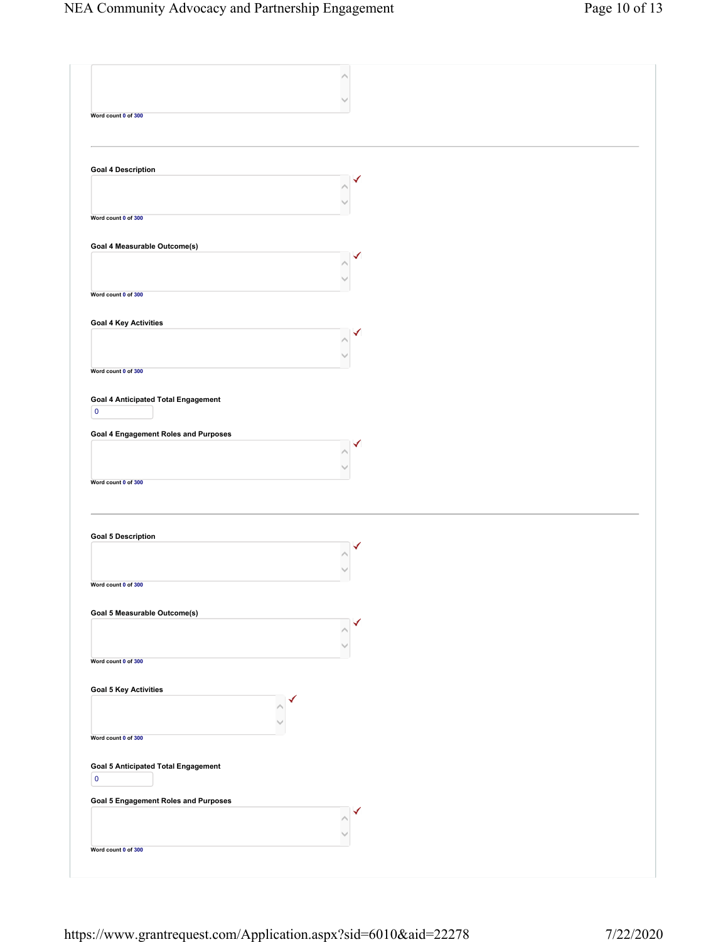| Word count 0 of 300                                                                                                                                                                            |  |
|------------------------------------------------------------------------------------------------------------------------------------------------------------------------------------------------|--|
|                                                                                                                                                                                                |  |
|                                                                                                                                                                                                |  |
|                                                                                                                                                                                                |  |
| <b>Goal 4 Description</b>                                                                                                                                                                      |  |
|                                                                                                                                                                                                |  |
|                                                                                                                                                                                                |  |
| Word count 0 of 300                                                                                                                                                                            |  |
|                                                                                                                                                                                                |  |
| Goal 4 Measurable Outcome(s)                                                                                                                                                                   |  |
|                                                                                                                                                                                                |  |
|                                                                                                                                                                                                |  |
| Word count 0 of 300                                                                                                                                                                            |  |
|                                                                                                                                                                                                |  |
| <b>Goal 4 Key Activities</b>                                                                                                                                                                   |  |
|                                                                                                                                                                                                |  |
|                                                                                                                                                                                                |  |
| Word count 0 of 300                                                                                                                                                                            |  |
|                                                                                                                                                                                                |  |
| <b>Goal 4 Anticipated Total Engagement</b>                                                                                                                                                     |  |
| $\overline{\mathbf{0}}$                                                                                                                                                                        |  |
| <b>Goal 4 Engagement Roles and Purposes</b>                                                                                                                                                    |  |
|                                                                                                                                                                                                |  |
|                                                                                                                                                                                                |  |
| Word count 0 of 300                                                                                                                                                                            |  |
|                                                                                                                                                                                                |  |
|                                                                                                                                                                                                |  |
|                                                                                                                                                                                                |  |
| <b>Goal 5 Description</b>                                                                                                                                                                      |  |
|                                                                                                                                                                                                |  |
|                                                                                                                                                                                                |  |
|                                                                                                                                                                                                |  |
| Word count 0 of 300                                                                                                                                                                            |  |
|                                                                                                                                                                                                |  |
| Goal 5 Measurable Outcome(s)                                                                                                                                                                   |  |
|                                                                                                                                                                                                |  |
|                                                                                                                                                                                                |  |
|                                                                                                                                                                                                |  |
|                                                                                                                                                                                                |  |
|                                                                                                                                                                                                |  |
|                                                                                                                                                                                                |  |
|                                                                                                                                                                                                |  |
|                                                                                                                                                                                                |  |
|                                                                                                                                                                                                |  |
|                                                                                                                                                                                                |  |
| $\pmb{0}$                                                                                                                                                                                      |  |
|                                                                                                                                                                                                |  |
|                                                                                                                                                                                                |  |
|                                                                                                                                                                                                |  |
| Word count 0 of 300<br><b>Goal 5 Key Activities</b><br>Word count 0 of 300<br><b>Goal 5 Anticipated Total Engagement</b><br><b>Goal 5 Engagement Roles and Purposes</b><br>Word count 0 of 300 |  |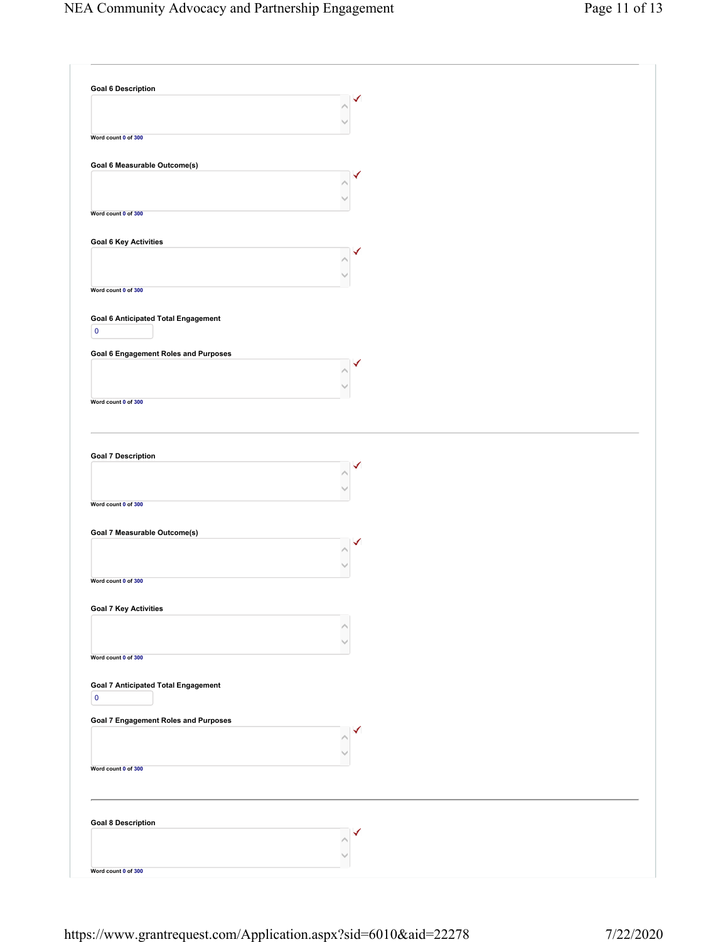| <b>Goal 6 Description</b>                   |   |
|---------------------------------------------|---|
|                                             |   |
|                                             |   |
|                                             |   |
| Word count 0 of 300                         |   |
|                                             |   |
| Goal 6 Measurable Outcome(s)                |   |
|                                             | ✓ |
|                                             |   |
|                                             |   |
| Word count 0 of 300                         |   |
|                                             |   |
| <b>Goal 6 Key Activities</b>                |   |
|                                             |   |
|                                             |   |
|                                             |   |
| Word count 0 of 300                         |   |
|                                             |   |
| <b>Goal 6 Anticipated Total Engagement</b>  |   |
| $\pmb{0}$                                   |   |
|                                             |   |
| <b>Goal 6 Engagement Roles and Purposes</b> |   |
|                                             |   |
|                                             |   |
|                                             |   |
| Word count 0 of 300                         |   |
|                                             |   |
|                                             |   |
|                                             |   |
| <b>Goal 7 Description</b>                   |   |
|                                             |   |
|                                             |   |
|                                             |   |
| Word count 0 of 300                         |   |
|                                             |   |
| Goal 7 Measurable Outcome(s)                |   |
|                                             | ✓ |
|                                             |   |
|                                             |   |
| Word count 0 of 300                         |   |
|                                             |   |
| <b>Goal 7 Key Activities</b>                |   |
|                                             |   |
|                                             |   |
|                                             |   |
| Word count 0 of 300                         |   |
|                                             |   |
| <b>Goal 7 Anticipated Total Engagement</b>  |   |
| $\pmb{0}$                                   |   |
|                                             |   |
| Goal 7 Engagement Roles and Purposes        | ✓ |
|                                             |   |
|                                             |   |
| Word count 0 of 300                         |   |
|                                             |   |
|                                             |   |
|                                             |   |
| <b>Goal 8 Description</b>                   |   |
|                                             |   |
|                                             |   |
|                                             |   |
| Word count 0 of 300                         |   |
|                                             |   |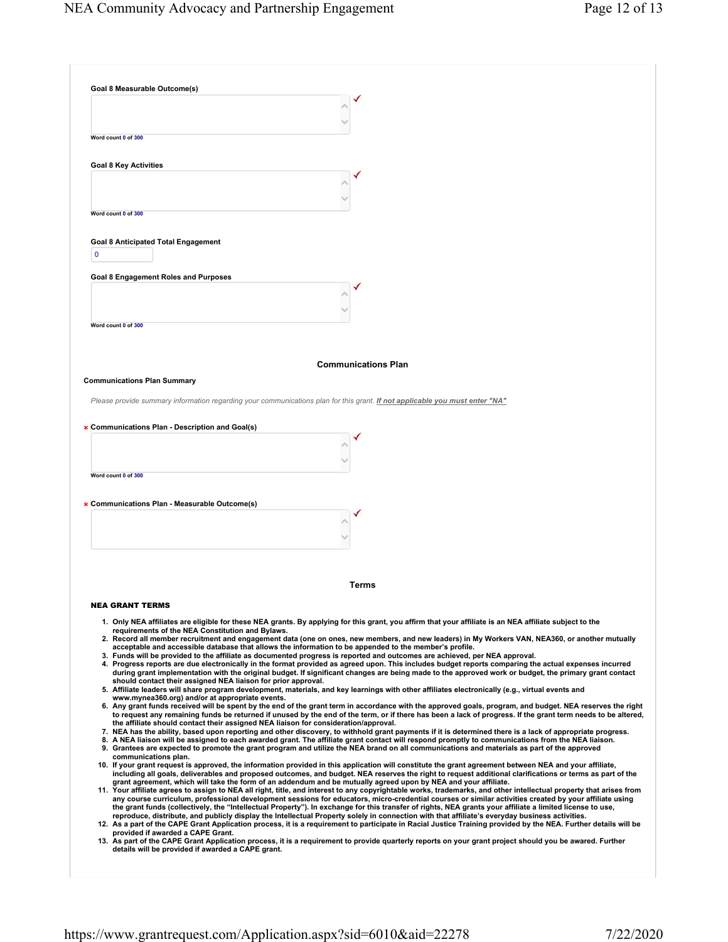| Goal 8 Measurable Outcome(s)                                                                                                                                                                                                                                                                                                 |
|------------------------------------------------------------------------------------------------------------------------------------------------------------------------------------------------------------------------------------------------------------------------------------------------------------------------------|
|                                                                                                                                                                                                                                                                                                                              |
|                                                                                                                                                                                                                                                                                                                              |
| Word count 0 of 300                                                                                                                                                                                                                                                                                                          |
|                                                                                                                                                                                                                                                                                                                              |
| <b>Goal 8 Key Activities</b>                                                                                                                                                                                                                                                                                                 |
|                                                                                                                                                                                                                                                                                                                              |
|                                                                                                                                                                                                                                                                                                                              |
| Word count 0 of 300                                                                                                                                                                                                                                                                                                          |
| <b>Goal 8 Anticipated Total Engagement</b>                                                                                                                                                                                                                                                                                   |
| $\mathbf{0}$                                                                                                                                                                                                                                                                                                                 |
| Goal 8 Engagement Roles and Purposes                                                                                                                                                                                                                                                                                         |
|                                                                                                                                                                                                                                                                                                                              |
|                                                                                                                                                                                                                                                                                                                              |
| Word count 0 of 300                                                                                                                                                                                                                                                                                                          |
|                                                                                                                                                                                                                                                                                                                              |
|                                                                                                                                                                                                                                                                                                                              |
| <b>Communications Plan</b>                                                                                                                                                                                                                                                                                                   |
| <b>Communications Plan Summary</b>                                                                                                                                                                                                                                                                                           |
| Please provide summary information regarding your communications plan for this grant. If not applicable you must enter "NA"                                                                                                                                                                                                  |
|                                                                                                                                                                                                                                                                                                                              |
| * Communications Plan - Description and Goal(s)                                                                                                                                                                                                                                                                              |
|                                                                                                                                                                                                                                                                                                                              |
|                                                                                                                                                                                                                                                                                                                              |
| Word count 0 of 300                                                                                                                                                                                                                                                                                                          |
|                                                                                                                                                                                                                                                                                                                              |
| * Communications Plan - Measurable Outcome(s)                                                                                                                                                                                                                                                                                |
|                                                                                                                                                                                                                                                                                                                              |
|                                                                                                                                                                                                                                                                                                                              |
|                                                                                                                                                                                                                                                                                                                              |
|                                                                                                                                                                                                                                                                                                                              |
| <b>Terms</b>                                                                                                                                                                                                                                                                                                                 |
| <b>NEA GRANT TERMS</b>                                                                                                                                                                                                                                                                                                       |
| 1. Only NEA affiliates are eligible for these NEA grants. By applying for this grant, you affirm that your affiliate is an NEA affiliate subject to the<br>requirements of the NEA Constitution and Bylaws.                                                                                                                  |
| 2. Record all member recruitment and engagement data (one on ones, new members, and new leaders) in My Workers VAN, NEA360, or another mutually                                                                                                                                                                              |
| acceptable and accessible database that allows the information to be appended to the member's profile.<br>3. Funds will be provided to the affiliate as documented progress is reported and outcomes are achieved, per NEA approval.                                                                                         |
| 4. Progress reports are due electronically in the format provided as agreed upon. This includes budget reports comparing the actual expenses incurred<br>during grant implementation with the original budget. If significant changes are being made to the approved work or budget, the primary grant contact               |
| should contact their assigned NEA liaison for prior approval.<br>5. Affiliate leaders will share program development, materials, and key learnings with other affiliates electronically (e.g., virtual events and                                                                                                            |
| www.mynea360.org) and/or at appropriate events.<br>6. Any grant funds received will be spent by the end of the grant term in accordance with the approved goals, program, and budget. NEA reserves the right                                                                                                                 |
| to request any remaining funds be returned if unused by the end of the term, or if there has been a lack of progress. If the grant term needs to be altered,<br>the affiliate should contact their assigned NEA liaison for consideration/approval.                                                                          |
| 7. NEA has the ability, based upon reporting and other discovery, to withhold grant payments if it is determined there is a lack of appropriate progress.<br>8. A NEA liaison will be assigned to each awarded grant. The affiliate grant contact will respond promptly to communications from the NEA liaison.              |
| 9. Grantees are expected to promote the grant program and utilize the NEA brand on all communications and materials as part of the approved<br>communications plan.                                                                                                                                                          |
| 10. If your grant request is approved, the information provided in this application will constitute the grant agreement between NEA and your affiliate,<br>including all goals, deliverables and proposed outcomes, and budget. NEA reserves the right to request additional clarifications or terms as part of the          |
| grant agreement, which will take the form of an addendum and be mutually agreed upon by NEA and your affiliate.                                                                                                                                                                                                              |
| 11. Your affiliate agrees to assign to NEA all right, title, and interest to any copyrightable works, trademarks, and other intellectual property that arises from<br>any course curriculum, professional development sessions for educators, micro-credential courses or similar activities created by your affiliate using |
| the grant funds (collectively, the "Intellectual Property"). In exchange for this transfer of rights, NEA grants your affiliate a limited license to use,<br>reproduce, distribute, and publicly display the Intellectual Property solely in connection with that affiliate's everyday business activities.                  |
| 12. As a part of the CAPE Grant Application process, it is a requirement to participate in Racial Justice Training provided by the NEA. Further details will be<br>provided if awarded a CAPE Grant.                                                                                                                         |
| 13. As part of the CAPE Grant Application process, it is a requirement to provide quarterly reports on your grant project should you be awared. Further<br>details will be provided if awarded a CAPE grant.                                                                                                                 |
|                                                                                                                                                                                                                                                                                                                              |
|                                                                                                                                                                                                                                                                                                                              |